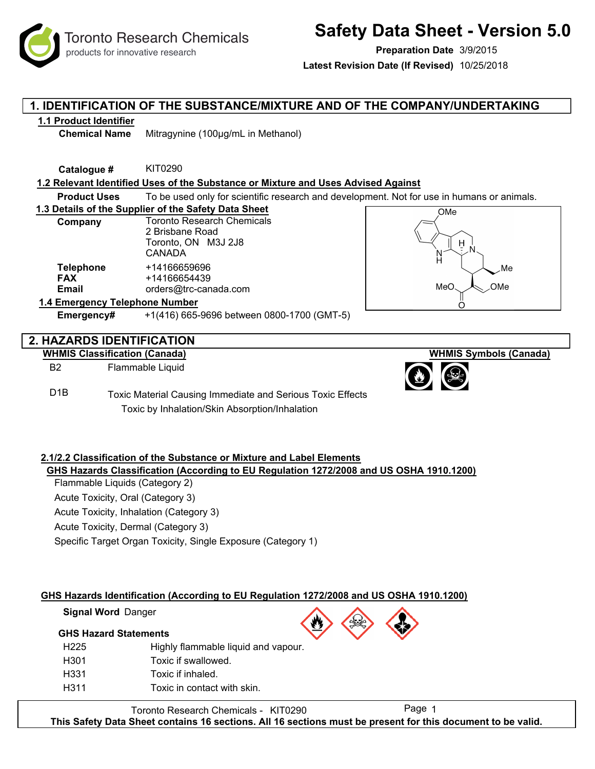Toronto Research Chemicals products for innovative research

# **Safety Data Sheet - Version 5.0**

**Preparation Date** 3/9/2015

**Latest Revision Date (If Revised)** 10/25/2018

## **1. IDENTIFICATION OF THE SUBSTANCE/MIXTURE AND OF THE COMPANY/UNDERTAKING**

## **1.1 Product Identifier**

**Chemical Name** Mitragynine (100μg/mL in Methanol)

**Catalogue #** KIT0290

## **1.2 Relevant Identified Uses of the Substance or Mixture and Uses Advised Against**

**Product Uses** To be used only for scientific research and development. Not for use in humans or animals.

#### **1.3 Details of the Supplier of the Safety Data Sheet**

| Company                                 | <b>Toronto Research Chemicals</b><br>2 Brisbane Road<br>Toronto, ON M3J 2J8<br>CANADA |  |  |
|-----------------------------------------|---------------------------------------------------------------------------------------|--|--|
| <b>Telephone</b><br><b>FAX</b><br>Email | +14166659696<br>+14166654439<br>orders@trc-canada.com                                 |  |  |
| 1.4 Emergency Telephone Number          |                                                                                       |  |  |



**WHMIS Symbols (Canada)**

## **2. HAZARDS IDENTIFICATION**

## **WHMIS Classification (Canada)**

B2 Flammable Liquid

D1B Toxic Material Causing Immediate and Serious Toxic Effects Toxic by Inhalation/Skin Absorption/Inhalation

**Emergency#** +1(416) 665-9696 between 0800-1700 (GMT-5)

## **2.1/2.2 Classification of the Substance or Mixture and Label Elements GHS Hazards Classification (According to EU Regulation 1272/2008 and US OSHA 1910.1200)**

Flammable Liquids (Category 2)

Acute Toxicity, Oral (Category 3)

Acute Toxicity, Inhalation (Category 3)

Acute Toxicity, Dermal (Category 3)

Specific Target Organ Toxicity, Single Exposure (Category 1)

## **GHS Hazards Identification (According to EU Regulation 1272/2008 and US OSHA 1910.1200)**

## **Signal Word** Danger

## **GHS Hazard Statements**

| H <sub>225</sub> | Highly flammable liquid and vapour. |
|------------------|-------------------------------------|
| H301             | Toxic if swallowed.                 |
| H <sub>331</sub> | Toxic if inhaled.                   |
| H311             | Toxic in contact with skin.         |

Toronto Research Chemicals - KIT0290 Page 1 **This Safety Data Sheet contains 16 sections. All 16 sections must be present for this document to be valid.**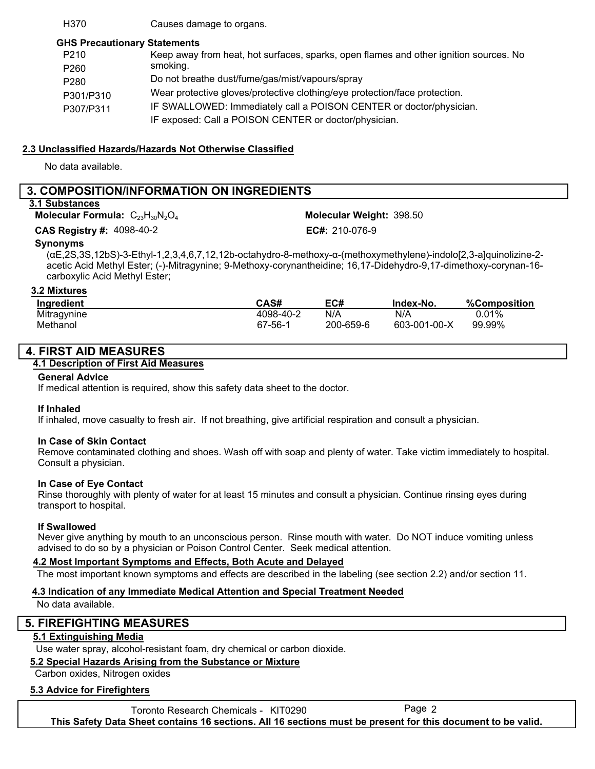## H370 Causes damage to organs.

#### **GHS Precautionary Statements**

| P210      | Keep away from heat, hot surfaces, sparks, open flames and other ignition sources. No |  |  |
|-----------|---------------------------------------------------------------------------------------|--|--|
| P260      | smoking.                                                                              |  |  |
| P280      | Do not breathe dust/fume/gas/mist/vapours/spray                                       |  |  |
| P301/P310 | Wear protective gloves/protective clothing/eye protection/face protection.            |  |  |
| P307/P311 | IF SWALLOWED: Immediately call a POISON CENTER or doctor/physician.                   |  |  |
|           | IF exposed: Call a POISON CENTER or doctor/physician.                                 |  |  |

#### **2.3 Unclassified Hazards/Hazards Not Otherwise Classified**

No data available.

## **3. COMPOSITION/INFORMATION ON INGREDIENTS**

## **3.1 Substances**

**Molecular Formula:** C<sub>23</sub>H<sub>30</sub>N<sub>2</sub>O<sub>4</sub>

**CAS Registry #: 4098-40-2** 

Molecular Weight: 398.50 EC#: 210-076-9

#### **Synonyms**

(αE,2S,3S,12bS)-3-Ethyl-1,2,3,4,6,7,12,12b-octahydro-8-methoxy-α-(methoxymethylene)-indolo[2,3-a]quinolizine-2 acetic Acid Methyl Ester; (-)-Mitragynine; 9-Methoxy-corynantheidine; 16,17-Didehydro-9,17-dimethoxy-corynan-16 carboxylic Acid Methyl Ester;

#### **3.2 Mixtures**

| Ingredient  | <b>CAS#</b> | EC#       | Index-No.    | %Composition |
|-------------|-------------|-----------|--------------|--------------|
| Mitragynine | 4098-40-2   | N/A       | N/A          | 0.01%        |
| Methanol    | 67-56-1     | 200-659-6 | 603-001-00-X | 99.99%       |

## **4. FIRST AID MEASURES**

#### **4.1 Description of First Aid Measures**

#### **General Advice**

If medical attention is required, show this safety data sheet to the doctor.

#### **If Inhaled**

If inhaled, move casualty to fresh air. If not breathing, give artificial respiration and consult a physician.

#### **In Case of Skin Contact**

Remove contaminated clothing and shoes. Wash off with soap and plenty of water. Take victim immediately to hospital. Consult a physician.

#### **In Case of Eye Contact**

Rinse thoroughly with plenty of water for at least 15 minutes and consult a physician. Continue rinsing eyes during transport to hospital.

#### **If Swallowed**

Never give anything by mouth to an unconscious person. Rinse mouth with water. Do NOT induce vomiting unless advised to do so by a physician or Poison Control Center. Seek medical attention.

#### **4.2 Most Important Symptoms and Effects, Both Acute and Delayed**

The most important known symptoms and effects are described in the labeling (see section 2.2) and/or section 11.

## **4.3 Indication of any Immediate Medical Attention and Special Treatment Needed**

No data available.

## **5. FIREFIGHTING MEASURES**

#### **5.1 Extinguishing Media**

Use water spray, alcohol-resistant foam, dry chemical or carbon dioxide.

## **5.2 Special Hazards Arising from the Substance or Mixture**

Carbon oxides, Nitrogen oxides

## **5.3 Advice for Firefighters**

Toronto Research Chemicals - KIT0290 Page 2 **This Safety Data Sheet contains 16 sections. All 16 sections must be present for this document to be valid.**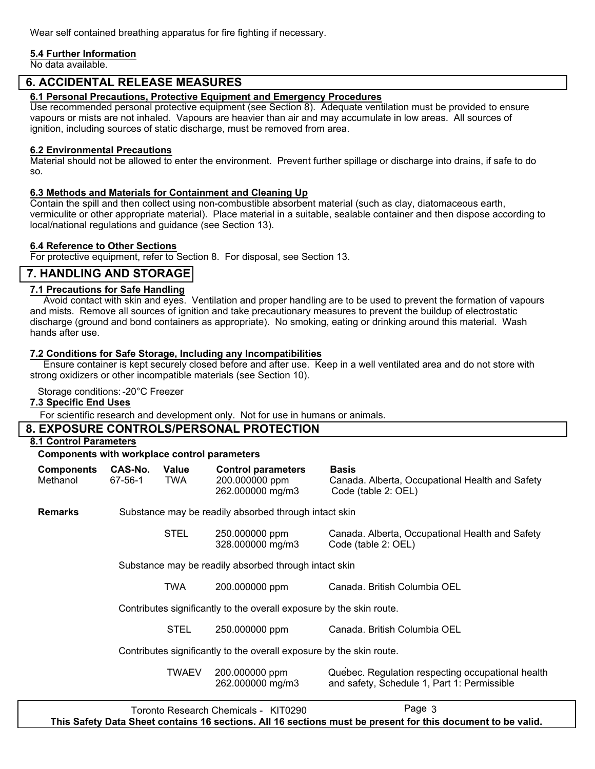Wear self contained breathing apparatus for fire fighting if necessary.

#### **5.4 Further Information**

No data available.

## **6. ACCIDENTAL RELEASE MEASURES**

## **6.1 Personal Precautions, Protective Equipment and Emergency Procedures**

Use recommended personal protective equipment (see Section 8). Adequate ventilation must be provided to ensure vapours or mists are not inhaled. Vapours are heavier than air and may accumulate in low areas. All sources of ignition, including sources of static discharge, must be removed from area.

#### **6.2 Environmental Precautions**

Material should not be allowed to enter the environment. Prevent further spillage or discharge into drains, if safe to do so.

#### **6.3 Methods and Materials for Containment and Cleaning Up**

Contain the spill and then collect using non-combustible absorbent material (such as clay, diatomaceous earth, vermiculite or other appropriate material). Place material in a suitable, sealable container and then dispose according to local/national regulations and guidance (see Section 13).

#### **6.4 Reference to Other Sections**

For protective equipment, refer to Section 8. For disposal, see Section 13.

## **7. HANDLING AND STORAGE**

#### **7.1 Precautions for Safe Handling**

 Avoid contact with skin and eyes. Ventilation and proper handling are to be used to prevent the formation of vapours and mists. Remove all sources of ignition and take precautionary measures to prevent the buildup of electrostatic discharge (ground and bond containers as appropriate). No smoking, eating or drinking around this material. Wash hands after use.

#### **7.2 Conditions for Safe Storage, Including any Incompatibilities**

 Ensure container is kept securely closed before and after use. Keep in a well ventilated area and do not store with strong oxidizers or other incompatible materials (see Section 10).

Storage conditions:-20°C Freezer

#### **7.3 Specific End Uses**

For scientific research and development only. Not for use in humans or animals.

## **8. EXPOSURE CONTROLS/PERSONAL PROTECTION**

#### **8.1 Control Parameters Components with workplace control parameters**

| <b>Components</b> | CAS-No. | Value | <b>Control parameters</b>          | <b>Basis</b>                                                           |
|-------------------|---------|-------|------------------------------------|------------------------------------------------------------------------|
| Methanol          | 67-56-1 | TWA   | 200.000000 ppm<br>262.000000 mg/m3 | Canada. Alberta, Occupational Health and Safety<br>Code (table 2: OEL) |

**Remarks** Substance may be readily absorbed through intact skin

STEL 250.000000 ppm Canada. Alberta, Occupational Health and Safety<br>328.000000 mg/m3 Code (table 2: OEL) 328.000000 mg/m3

Substance may be readily absorbed through intact skin

TWA 200.000000 ppm Canada. British Columbia OEL

Contributes significantly to the overall exposure by the skin route.

STEL 250.000000 ppm Canada. British Columbia OEL

Contributes significantly to the overall exposure by the skin route.

 TWAEV 200.000000 ppm Québec. Regulation respecting occupational health and safety, Schedule 1, Part 1: Permissible

Toronto Research Chemicals - KIT0290 Page 3 **This Safety Data Sheet contains 16 sections. All 16 sections must be present for this document to be valid.**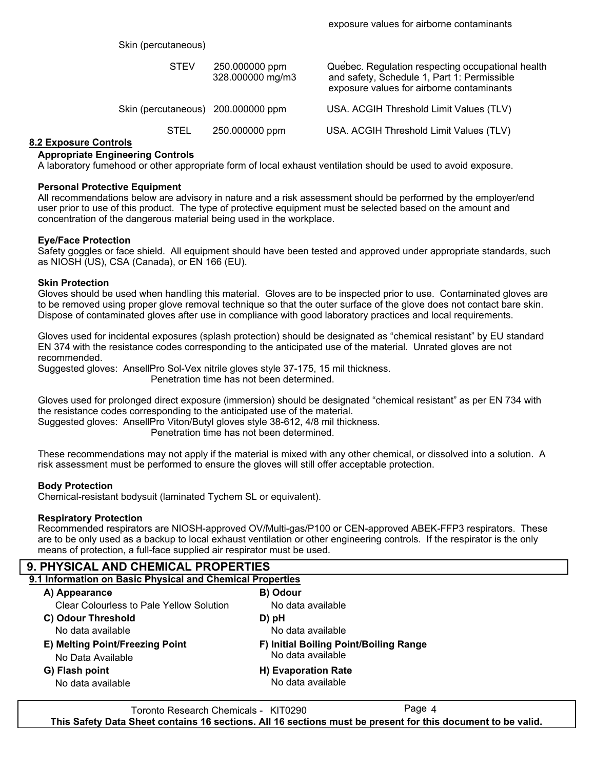Skin (percutaneous)

| <b>STEV</b>                        | 250.000000 ppm<br>328.000000 mg/m3 | Quebec. Regulation respecting occupational health<br>and safety, Schedule 1, Part 1: Permissible<br>exposure values for airborne contaminants |
|------------------------------------|------------------------------------|-----------------------------------------------------------------------------------------------------------------------------------------------|
| Skin (percutaneous) 200.000000 ppm |                                    | USA. ACGIH Threshold Limit Values (TLV)                                                                                                       |
| <b>STEL</b>                        | 250.000000 ppm                     | USA. ACGIH Threshold Limit Values (TLV)                                                                                                       |

#### **8.2 Exposure Controls**

#### **Appropriate Engineering Controls**

A laboratory fumehood or other appropriate form of local exhaust ventilation should be used to avoid exposure.

#### **Personal Protective Equipment**

All recommendations below are advisory in nature and a risk assessment should be performed by the employer/end user prior to use of this product. The type of protective equipment must be selected based on the amount and concentration of the dangerous material being used in the workplace.

#### **Eye/Face Protection**

Safety goggles or face shield. All equipment should have been tested and approved under appropriate standards, such as NIOSH (US), CSA (Canada), or EN 166 (EU).

#### **Skin Protection**

Gloves should be used when handling this material. Gloves are to be inspected prior to use. Contaminated gloves are to be removed using proper glove removal technique so that the outer surface of the glove does not contact bare skin. Dispose of contaminated gloves after use in compliance with good laboratory practices and local requirements.

Gloves used for incidental exposures (splash protection) should be designated as "chemical resistant" by EU standard EN 374 with the resistance codes corresponding to the anticipated use of the material. Unrated gloves are not recommended.

Suggested gloves: AnsellPro Sol-Vex nitrile gloves style 37-175, 15 mil thickness.

Penetration time has not been determined.

Gloves used for prolonged direct exposure (immersion) should be designated "chemical resistant" as per EN 734 with the resistance codes corresponding to the anticipated use of the material.

Suggested gloves: AnsellPro Viton/Butyl gloves style 38-612, 4/8 mil thickness.

Penetration time has not been determined.

These recommendations may not apply if the material is mixed with any other chemical, or dissolved into a solution. A risk assessment must be performed to ensure the gloves will still offer acceptable protection.

#### **Body Protection**

Chemical-resistant bodysuit (laminated Tychem SL or equivalent).

#### **Respiratory Protection**

Recommended respirators are NIOSH-approved OV/Multi-gas/P100 or CEN-approved ABEK-FFP3 respirators. These are to be only used as a backup to local exhaust ventilation or other engineering controls. If the respirator is the only means of protection, a full-face supplied air respirator must be used.

#### **9. PHYSICAL AND CHEMICAL PROPERTIES**

| 9.1 Information on Basic Physical and Chemical Properties |                                        |  |  |  |
|-----------------------------------------------------------|----------------------------------------|--|--|--|
| A) Appearance                                             | B) Odour                               |  |  |  |
| Clear Colourless to Pale Yellow Solution                  | No data available                      |  |  |  |
| C) Odour Threshold                                        | D) pH                                  |  |  |  |
| No data available                                         | No data available                      |  |  |  |
| E) Melting Point/Freezing Point                           | F) Initial Boiling Point/Boiling Range |  |  |  |
| No Data Available                                         | No data available                      |  |  |  |
| G) Flash point                                            | H) Evaporation Rate                    |  |  |  |
| No data available                                         | No data available                      |  |  |  |
|                                                           |                                        |  |  |  |

Toronto Research Chemicals - KIT0290 Page 4 **This Safety Data Sheet contains 16 sections. All 16 sections must be present for this document to be valid.**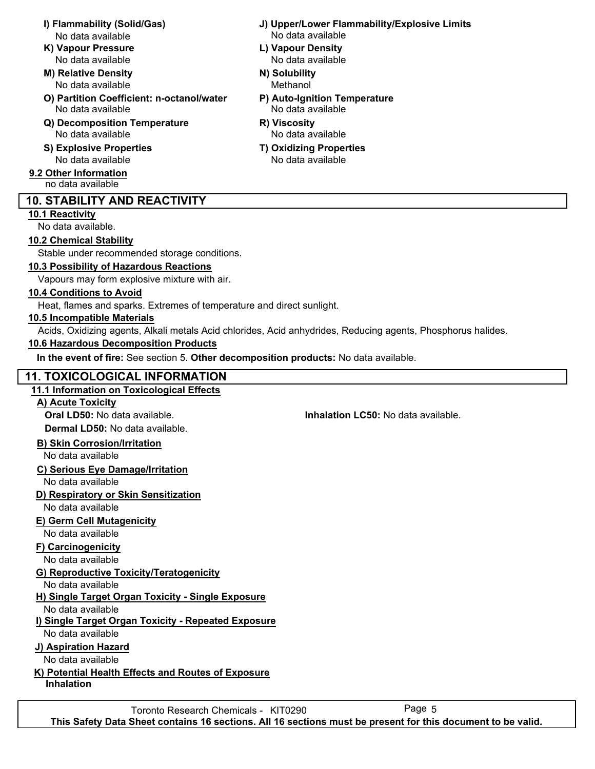- No data available No data available
- **K) Vapour Pressure L) Vapour Density**
- **M) Relative Density N) Solubility** No data available
- **O) Partition Coefficient: n-octanol/water P) Auto-Ignition Temperature** No data available No data available
- **Q) Decomposition Temperature R) Viscosity** No data available No data available
- **S) Explosive Properties T) Oxidizing Properties** No data available No data available
- **9.2 Other Information** no data available

## **10. STABILITY AND REACTIVITY**

## **10.1 Reactivity**

No data available.

## **10.2 Chemical Stability**

Stable under recommended storage conditions.

## **10.3 Possibility of Hazardous Reactions**

Vapours may form explosive mixture with air.

## **10.4 Conditions to Avoid**

Heat, flames and sparks. Extremes of temperature and direct sunlight.

## **10.5 Incompatible Materials**

Acids, Oxidizing agents, Alkali metals Acid chlorides, Acid anhydrides, Reducing agents, Phosphorus halides.

## **10.6 Hazardous Decomposition Products**

**In the event of fire:** See section 5. **Other decomposition products:** No data available.

## **11. TOXICOLOGICAL INFORMATION**

## **11.1 Information on Toxicological Effects**

## **A) Acute Toxicity**

**Dermal LD50:** No data available.

**Oral LD50:** No data available. **Inhalation LC50:** No data available.

## **B) Skin Corrosion/Irritation**

No data available

## **C) Serious Eye Damage/Irritation**

No data available

## **D) Respiratory or Skin Sensitization**

No data available

## **E) Germ Cell Mutagenicity**

No data available

## **F) Carcinogenicity**

No data available

## **G) Reproductive Toxicity/Teratogenicity**

No data available

## **H) Single Target Organ Toxicity - Single Exposure**

No data available

## **I) Single Target Organ Toxicity - Repeated Exposure**

No data available

## **J) Aspiration Hazard**

No data available

## **K) Potential Health Effects and Routes of Exposure**

**Inhalation**

- **I) Flammability (Solid/Gas) J) Upper/Lower Flammability/Explosive Limits**
	- No data available No data available
		- Methanol
		- -
		-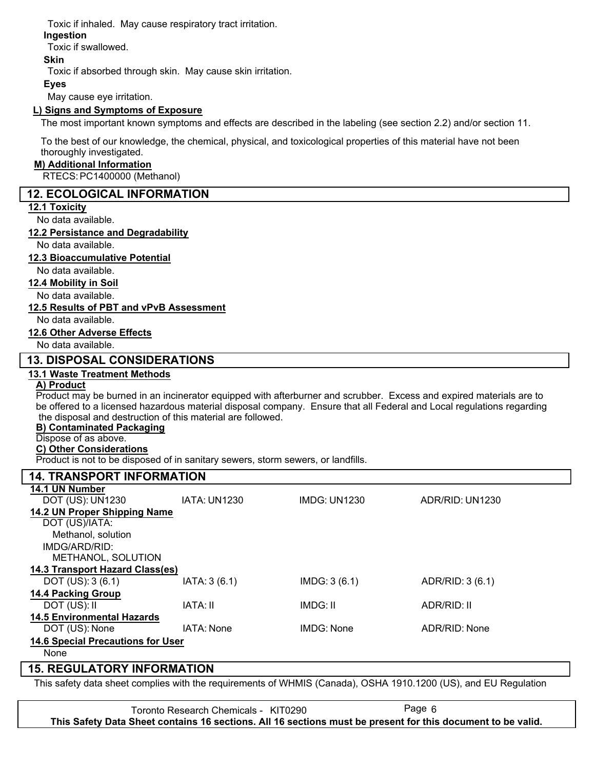Toxic if inhaled. May cause respiratory tract irritation.

#### **Ingestion**

Toxic if swallowed.

## **Skin**

Toxic if absorbed through skin. May cause skin irritation.

#### **Eyes**

May cause eye irritation.

#### **L) Signs and Symptoms of Exposure**

The most important known symptoms and effects are described in the labeling (see section 2.2) and/or section 11.

To the best of our knowledge, the chemical, physical, and toxicological properties of this material have not been thoroughly investigated.

#### **M) Additional Information**

RTECS: PC1400000 (Methanol)

## **12. ECOLOGICAL INFORMATION**

#### **12.1 Toxicity**

No data available.

#### **12.2 Persistance and Degradability**

No data available.

#### **12.3 Bioaccumulative Potential**

No data available.

#### **12.4 Mobility in Soil**

No data available.

#### **12.5 Results of PBT and vPvB Assessment**

No data available.

#### **12.6 Other Adverse Effects**

No data available.

## **13. DISPOSAL CONSIDERATIONS**

## **13.1 Waste Treatment Methods**

## **A) Product**

Product may be burned in an incinerator equipped with afterburner and scrubber. Excess and expired materials are to be offered to a licensed hazardous material disposal company. Ensure that all Federal and Local regulations regarding the disposal and destruction of this material are followed.

#### **B) Contaminated Packaging**

## Dispose of as above.

**C) Other Considerations**

Product is not to be disposed of in sanitary sewers, storm sewers, or landfills.

| <b>14. TRANSPORT INFORMATION</b>         |                     |                     |                  |
|------------------------------------------|---------------------|---------------------|------------------|
| 14.1 UN Number                           |                     |                     |                  |
| DOT (US): UN1230                         | <b>IATA: UN1230</b> | <b>IMDG: UN1230</b> | ADR/RID: UN1230  |
| 14.2 UN Proper Shipping Name             |                     |                     |                  |
| DOT (US)/IATA:                           |                     |                     |                  |
| Methanol, solution                       |                     |                     |                  |
| IMDG/ARD/RID:                            |                     |                     |                  |
| METHANOL, SOLUTION                       |                     |                     |                  |
| 14.3 Transport Hazard Class(es)          |                     |                     |                  |
| DOT $(US): 3 (6.1)$                      | IATA: 3(6.1)        | IMDG: 3(6.1)        | ADR/RID: 3 (6.1) |
| <b>14.4 Packing Group</b>                |                     |                     |                  |
| DOT (US): II                             | IATA: II            | IMDG: II            | ADR/RID: II      |
| <b>14.5 Environmental Hazards</b>        |                     |                     |                  |
| DOT (US): None                           | IATA: None          | <b>IMDG: None</b>   | ADR/RID: None    |
| <b>14.6 Special Precautions for User</b> |                     |                     |                  |
| None                                     |                     |                     |                  |

## **15. REGULATORY INFORMATION**

This safety data sheet complies with the requirements of WHMIS (Canada), OSHA 1910.1200 (US), and EU Regulation

Toronto Research Chemicals - KIT0290 Page 6 **This Safety Data Sheet contains 16 sections. All 16 sections must be present for this document to be valid.**